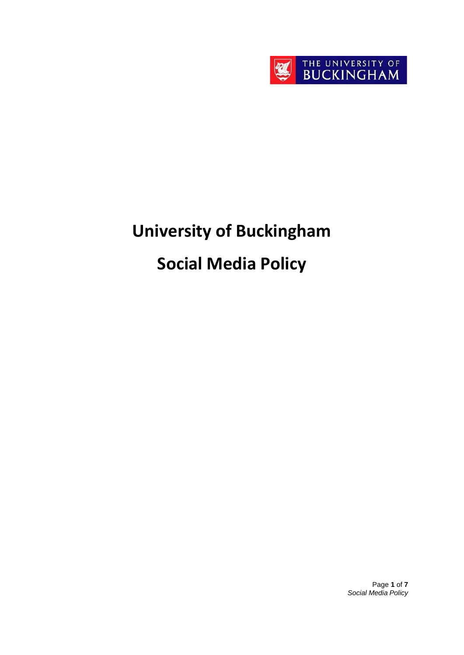

# **University of Buckingham**

# **Social Media Policy**

Page **1** of **7** *Social Media Policy*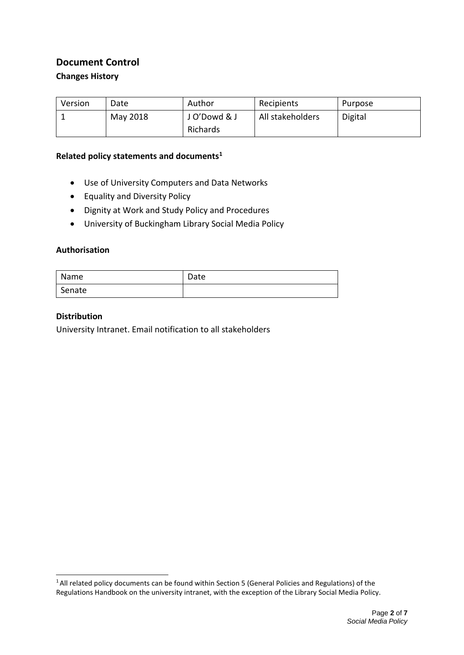#### **Document Control**

#### **Changes History**

| Version | Date     | Author      | Recipients       | Purpose |
|---------|----------|-------------|------------------|---------|
|         | May 2018 | JO'Dowd & J | All stakeholders | Digital |
|         |          | Richards    |                  |         |

#### **Related policy statements and documents[1](#page-1-0)**

- Use of University Computers and Data Networks
- Equality and Diversity Policy
- Dignity at Work and Study Policy and Procedures
- University of Buckingham Library Social Media Policy

#### **Authorisation**

| Name   | Date |
|--------|------|
| Senate |      |

#### **Distribution**

University Intranet. Email notification to all stakeholders

<span id="page-1-0"></span><sup>&</sup>lt;sup>1</sup> All related policy documents can be found within Section 5 (General Policies and Regulations) of the Regulations Handbook on the university intranet, with the exception of the Library Social Media Policy.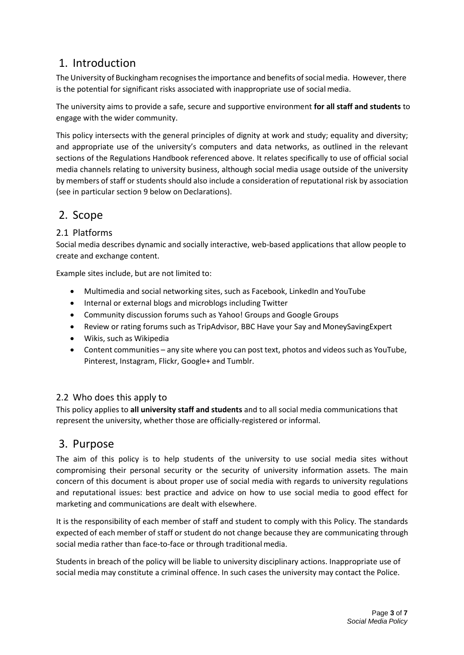# 1. Introduction

The University of Buckingham recognises the importance and benefits of social media. However, there is the potential for significant risks associated with inappropriate use of social media.

The university aims to provide a safe, secure and supportive environment **for all staff and students** to engage with the wider community.

This policy intersects with the general principles of dignity at work and study; equality and diversity; and appropriate use of the university's computers and data networks, as outlined in the relevant sections of the Regulations Handbook referenced above. It relates specifically to use of official social media channels relating to university business, although social media usage outside of the university by members of staff or students should also include a consideration of reputational risk by association (see in particular section 9 below on Declarations).

# 2. Scope

#### 2.1 Platforms

Social media describes dynamic and socially interactive, web-based applications that allow people to create and exchange content.

Example sites include, but are not limited to:

- Multimedia and social networking sites, such as Facebook, LinkedIn and YouTube
- Internal or external blogs and microblogs including Twitter
- Community discussion forums such as Yahoo! Groups and Google Groups
- Review or rating forums such as TripAdvisor, BBC Have your Say and MoneySavingExpert
- Wikis, such as Wikipedia
- Content communities any site where you can post text, photos and videos such as YouTube, Pinterest, Instagram, Flickr, Google+ and Tumblr.

#### 2.2 Who does this apply to

This policy applies to **all university staff and students** and to all social media communications that represent the university, whether those are officially-registered or informal.

#### 3. Purpose

The aim of this policy is to help students of the university to use social media sites without compromising their personal security or the security of university information assets. The main concern of this document is about proper use of social media with regards to university regulations and reputational issues: best practice and advice on how to use social media to good effect for marketing and communications are dealt with elsewhere.

It is the responsibility of each member of staff and student to comply with this Policy. The standards expected of each member of staff or student do not change because they are communicating through social media rather than face-to-face or through traditional media.

Students in breach of the policy will be liable to university disciplinary actions. Inappropriate use of social media may constitute a criminal offence. In such cases the university may contact the Police.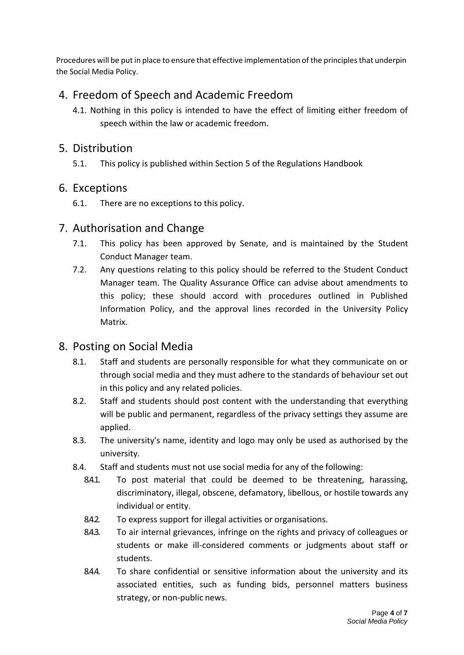Procedures will be put in place to ensure that effective implementation of the principles that underpin the Social Media Policy.

# 4. Freedom of Speech and Academic Freedom

4.1. Nothing in this policy is intended to have the effect of limiting either freedom of speech within the law or academic freedom.

#### 5. Distribution

5.1. This policy is published within Section 5 of the Regulations Handbook

#### 6. Exceptions

6.1. There are no exceptions to this policy.

#### 7. Authorisation and Change

- 7.1. This policy has been approved by Senate, and is maintained by the Student Conduct Manager team.
- 7.2. Any questions relating to this policy should be referred to the Student Conduct Manager team. The Quality Assurance Office can advise about amendments to this policy; these should accord with procedures outlined in Published Information Policy, and the approval lines recorded in the University Policy Matrix.

# 8. Posting on Social Media

- 8.1. Staff and students are personally responsible for what they communicate on or through social media and they must adhere to the standards of behaviour set out in this policy and any related policies.
- 8.2. Staff and students should post content with the understanding that everything will be public and permanent, regardless of the privacy settings they assume are applied.
- 8.3. The university's name, identity and logo may only be used as authorised by the university.
- 8.4. Staff and students must not use social media for any of the following:
	- 8.4.1. To post material that could be deemed to be threatening, harassing, discriminatory, illegal, obscene, defamatory, libellous, or hostile towards any individual or entity.
	- 8.4.2. To express support for illegal activities or organisations.
	- 8.4.3. To air internal grievances, infringe on the rights and privacy of colleagues or students or make ill-considered comments or judgments about staff or students.
	- 8.4.4. To share confidential or sensitive information about the university and its associated entities, such as funding bids, personnel matters business strategy, or non-public news.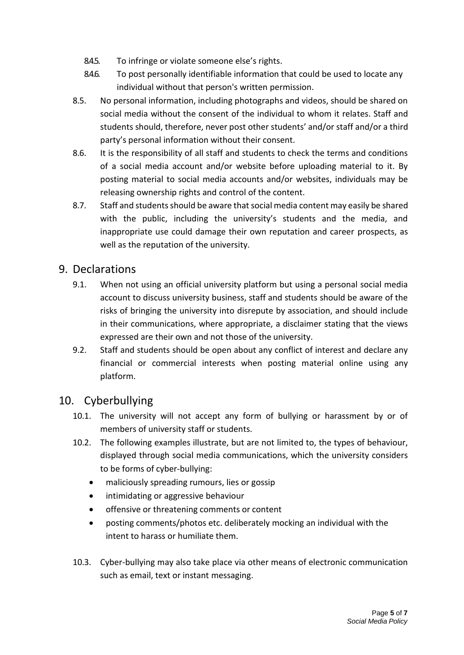- 8.4.5. To infringe or violate someone else's rights.
- 8.4.6. To post personally identifiable information that could be used to locate any individual without that person's written permission.
- 8.5. No personal information, including photographs and videos, should be shared on social media without the consent of the individual to whom it relates. Staff and students should, therefore, never post other students' and/or staff and/or a third party's personal information without their consent.
- 8.6. It is the responsibility of all staff and students to check the terms and conditions of a social media account and/or website before uploading material to it. By posting material to social media accounts and/or websites, individuals may be releasing ownership rights and control of the content.
- 8.7. Staff and students should be aware that social media content may easily be shared with the public, including the university's students and the media, and inappropriate use could damage their own reputation and career prospects, as well as the reputation of the university.

#### 9. Declarations

- 9.1. When not using an official university platform but using a personal social media account to discuss university business, staff and students should be aware of the risks of bringing the university into disrepute by association, and should include in their communications, where appropriate, a disclaimer stating that the views expressed are their own and not those of the university.
- 9.2. Staff and students should be open about any conflict of interest and declare any financial or commercial interests when posting material online using any platform.

# 10. Cyberbullying

- 10.1. The university will not accept any form of bullying or harassment by or of members of university staff or students.
- 10.2. The following examples illustrate, but are not limited to, the types of behaviour, displayed through social media communications, which the university considers to be forms of cyber-bullying:
	- maliciously spreading rumours, lies or gossip
	- intimidating or aggressive behaviour
	- offensive or threatening comments or content
	- posting comments/photos etc. deliberately mocking an individual with the intent to harass or humiliate them.
- 10.3. Cyber-bullying may also take place via other means of electronic communication such as email, text or instant messaging.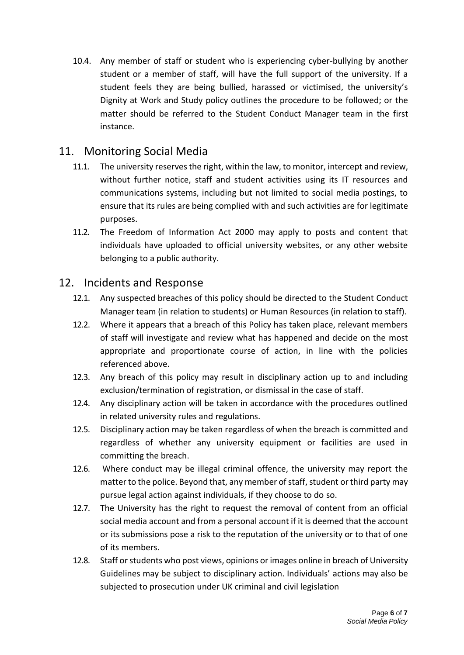10.4. Any member of staff or student who is experiencing cyber-bullying by another student or a member of staff, will have the full support of the university. If a student feels they are being bullied, harassed or victimised, the university's Dignity at Work and Study policy outlines the procedure to be followed; or the matter should be referred to the Student Conduct Manager team in the first instance.

# 11. Monitoring Social Media

- 11.1. The university reserves the right, within the law, to monitor, intercept and review, without further notice, staff and student activities using its IT resources and communications systems, including but not limited to social media postings, to ensure that its rules are being complied with and such activities are for legitimate purposes.
- 11.2. The Freedom of Information Act 2000 may apply to posts and content that individuals have uploaded to official university websites, or any other website belonging to a public authority.

#### 12. Incidents and Response

- 12.1. Any suspected breaches of this policy should be directed to the Student Conduct Manager team (in relation to students) or Human Resources (in relation to staff).
- 12.2. Where it appears that a breach of this Policy has taken place, relevant members of staff will investigate and review what has happened and decide on the most appropriate and proportionate course of action, in line with the policies referenced above.
- 12.3. Any breach of this policy may result in disciplinary action up to and including exclusion/termination of registration, or dismissal in the case of staff.
- 12.4. Any disciplinary action will be taken in accordance with the procedures outlined in related university rules and regulations.
- 12.5. Disciplinary action may be taken regardless of when the breach is committed and regardless of whether any university equipment or facilities are used in committing the breach.
- 12.6. Where conduct may be illegal criminal offence, the university may report the matter to the police. Beyond that, any member of staff, student or third party may pursue legal action against individuals, if they choose to do so.
- 12.7. The University has the right to request the removal of content from an official social media account and from a personal account if it is deemed that the account or its submissions pose a risk to the reputation of the university or to that of one of its members.
- 12.8. Staff or students who post views, opinions or images online in breach of University Guidelines may be subject to disciplinary action. Individuals' actions may also be subjected to prosecution under UK criminal and civil legislation